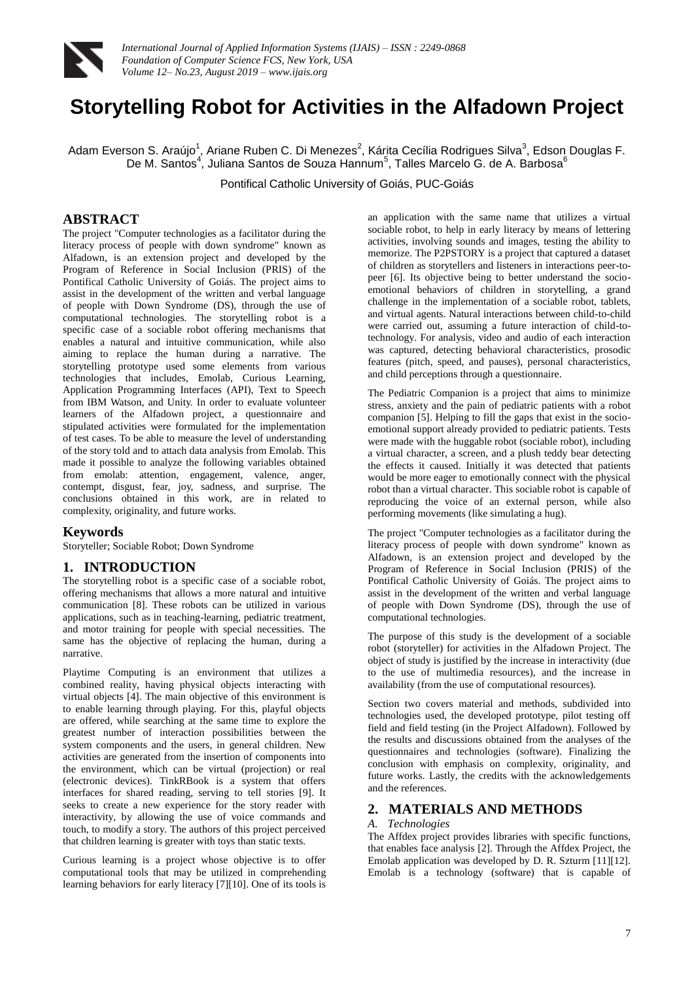

# **Storytelling Robot for Activities in the Alfadown Project**

Adam Everson S. Araújo<sup>1</sup>, Ariane Ruben C. Di Menezes<sup>2</sup>, Kárita Cecília Rodrigues Silva<sup>3</sup>, Edson Douglas F. De M. Santos<sup>4</sup>, Juliana Santos de Souza Hannum<sup>5</sup>, Talles Marcelo G. de A. Barbosa<sup>6</sup>

Pontifical Catholic University of Goiás, PUC-Goiás

# **ABSTRACT**

The project "Computer technologies as a facilitator during the literacy process of people with down syndrome" known as Alfadown, is an extension project and developed by the Program of Reference in Social Inclusion (PRIS) of the Pontifical Catholic University of Goiás. The project aims to assist in the development of the written and verbal language of people with Down Syndrome (DS), through the use of computational technologies. The storytelling robot is a specific case of a sociable robot offering mechanisms that enables a natural and intuitive communication, while also aiming to replace the human during a narrative. The storytelling prototype used some elements from various technologies that includes, Emolab, Curious Learning, Application Programming Interfaces (API), Text to Speech from IBM Watson, and Unity. In order to evaluate volunteer learners of the Alfadown project, a questionnaire and stipulated activities were formulated for the implementation of test cases. To be able to measure the level of understanding of the story told and to attach data analysis from Emolab. This made it possible to analyze the following variables obtained from emolab: attention, engagement, valence, anger, contempt, disgust, fear, joy, sadness, and surprise. The conclusions obtained in this work, are in related to complexity, originality, and future works.

#### **Keywords**

Storyteller; Sociable Robot; Down Syndrome

#### **1. INTRODUCTION**

The storytelling robot is a specific case of a sociable robot, offering mechanisms that allows a more natural and intuitive communication [8]. These robots can be utilized in various applications, such as in teaching-learning, pediatric treatment, and motor training for people with special necessities. The same has the objective of replacing the human, during a narrative.

Playtime Computing is an environment that utilizes a combined reality, having physical objects interacting with virtual objects [4]. The main objective of this environment is to enable learning through playing. For this, playful objects are offered, while searching at the same time to explore the greatest number of interaction possibilities between the system components and the users, in general children. New activities are generated from the insertion of components into the environment, which can be virtual (projection) or real (electronic devices). TinkRBook is a system that offers interfaces for shared reading, serving to tell stories [9]. It seeks to create a new experience for the story reader with interactivity, by allowing the use of voice commands and touch, to modify a story. The authors of this project perceived that children learning is greater with toys than static texts.

Curious learning is a project whose objective is to offer computational tools that may be utilized in comprehending learning behaviors for early literacy [7][10]. One of its tools is

an application with the same name that utilizes a virtual sociable robot, to help in early literacy by means of lettering activities, involving sounds and images, testing the ability to memorize. The P2PSTORY is a project that captured a dataset of children as storytellers and listeners in interactions peer-topeer [6]. Its objective being to better understand the socioemotional behaviors of children in storytelling, a grand challenge in the implementation of a sociable robot, tablets, and virtual agents. Natural interactions between child-to-child were carried out, assuming a future interaction of child-totechnology. For analysis, video and audio of each interaction was captured, detecting behavioral characteristics, prosodic features (pitch, speed, and pauses), personal characteristics, and child perceptions through a questionnaire.

The Pediatric Companion is a project that aims to minimize stress, anxiety and the pain of pediatric patients with a robot companion [5]. Helping to fill the gaps that exist in the socioemotional support already provided to pediatric patients. Tests were made with the huggable robot (sociable robot), including a virtual character, a screen, and a plush teddy bear detecting the effects it caused. Initially it was detected that patients would be more eager to emotionally connect with the physical robot than a virtual character. This sociable robot is capable of reproducing the voice of an external person, while also performing movements (like simulating a hug).

The project "Computer technologies as a facilitator during the literacy process of people with down syndrome" known as Alfadown, is an extension project and developed by the Program of Reference in Social Inclusion (PRIS) of the Pontifical Catholic University of Goiás. The project aims to assist in the development of the written and verbal language of people with Down Syndrome (DS), through the use of computational technologies.

The purpose of this study is the development of a sociable robot (storyteller) for activities in the Alfadown Project. The object of study is justified by the increase in interactivity (due to the use of multimedia resources), and the increase in availability (from the use of computational resources).

Section two covers material and methods, subdivided into technologies used, the developed prototype, pilot testing off field and field testing (in the Project Alfadown). Followed by the results and discussions obtained from the analyses of the questionnaires and technologies (software). Finalizing the conclusion with emphasis on complexity, originality, and future works. Lastly, the credits with the acknowledgements and the references.

# **2. MATERIALS AND METHODS**

### *A. Technologies*

The Affdex project provides libraries with specific functions, that enables face analysis [2]. Through the Affdex Project, the Emolab application was developed by D. R. Szturm [11][12]. Emolab is a technology (software) that is capable of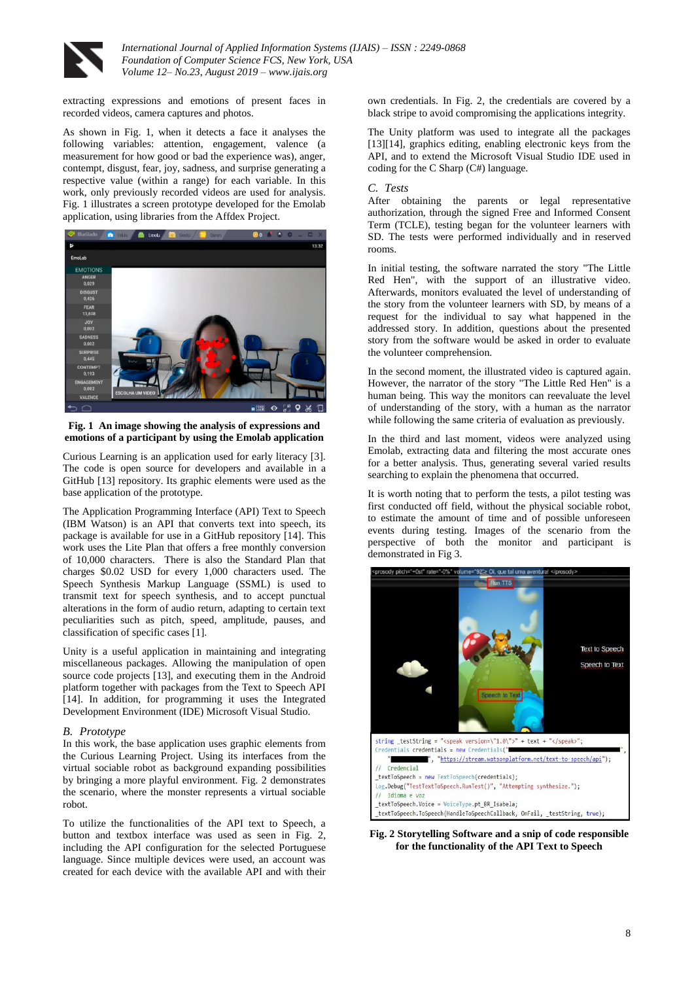

extracting expressions and emotions of present faces in recorded videos, camera captures and photos.

As shown in Fig. 1, when it detects a face it analyses the following variables: attention, engagement, valence (a measurement for how good or bad the experience was), anger, contempt, disgust, fear, joy, sadness, and surprise generating a respective value (within a range) for each variable. In this work, only previously recorded videos are used for analysis. Fig. 1 illustrates a screen prototype developed for the Emolab application, using libraries from the Affdex Project.



**Fig. 1 An image showing the analysis of expressions and emotions of a participant by using the Emolab application**

Curious Learning is an application used for early literacy [3]. The code is open source for developers and available in a GitHub [13] repository. Its graphic elements were used as the base application of the prototype.

The Application Programming Interface (API) Text to Speech (IBM Watson) is an API that converts text into speech, its package is available for use in a GitHub repository [14]. This work uses the Lite Plan that offers a free monthly conversion of 10,000 characters. There is also the Standard Plan that charges \$0.02 USD for every 1,000 characters used. The Speech Synthesis Markup Language (SSML) is used to transmit text for speech synthesis, and to accept punctual alterations in the form of audio return, adapting to certain text peculiarities such as pitch, speed, amplitude, pauses, and classification of specific cases [1].

Unity is a useful application in maintaining and integrating miscellaneous packages. Allowing the manipulation of open source code projects [13], and executing them in the Android platform together with packages from the Text to Speech API [14]. In addition, for programming it uses the Integrated Development Environment (IDE) Microsoft Visual Studio.

#### *B. Prototype*

In this work, the base application uses graphic elements from the Curious Learning Project. Using its interfaces from the virtual sociable robot as background expanding possibilities by bringing a more playful environment. Fig. 2 demonstrates the scenario, where the monster represents a virtual sociable robot.

To utilize the functionalities of the API text to Speech, a button and textbox interface was used as seen in Fig. 2, including the API configuration for the selected Portuguese language. Since multiple devices were used, an account was created for each device with the available API and with their

own credentials. In Fig. 2, the credentials are covered by a black stripe to avoid compromising the applications integrity.

The Unity platform was used to integrate all the packages [13][14], graphics editing, enabling electronic keys from the API, and to extend the Microsoft Visual Studio IDE used in coding for the C Sharp (C#) language.

## *C. Tests*

After obtaining the parents or legal representative authorization, through the signed Free and Informed Consent Term (TCLE), testing began for the volunteer learners with SD. The tests were performed individually and in reserved rooms.

In initial testing, the software narrated the story "The Little Red Hen", with the support of an illustrative video. Afterwards, monitors evaluated the level of understanding of the story from the volunteer learners with SD, by means of a request for the individual to say what happened in the addressed story. In addition, questions about the presented story from the software would be asked in order to evaluate the volunteer comprehension.

In the second moment, the illustrated video is captured again. However, the narrator of the story "The Little Red Hen" is a human being. This way the monitors can reevaluate the level of understanding of the story, with a human as the narrator while following the same criteria of evaluation as previously.

In the third and last moment, videos were analyzed using Emolab, extracting data and filtering the most accurate ones for a better analysis. Thus, generating several varied results searching to explain the phenomena that occurred.

It is worth noting that to perform the tests, a pilot testing was first conducted off field, without the physical sociable robot, to estimate the amount of time and of possible unforeseen events during testing. Images of the scenario from the perspective of both the monitor and participant is demonstrated in Fig 3.



**Fig. 2 Storytelling Software and a snip of code responsible for the functionality of the API Text to Speech**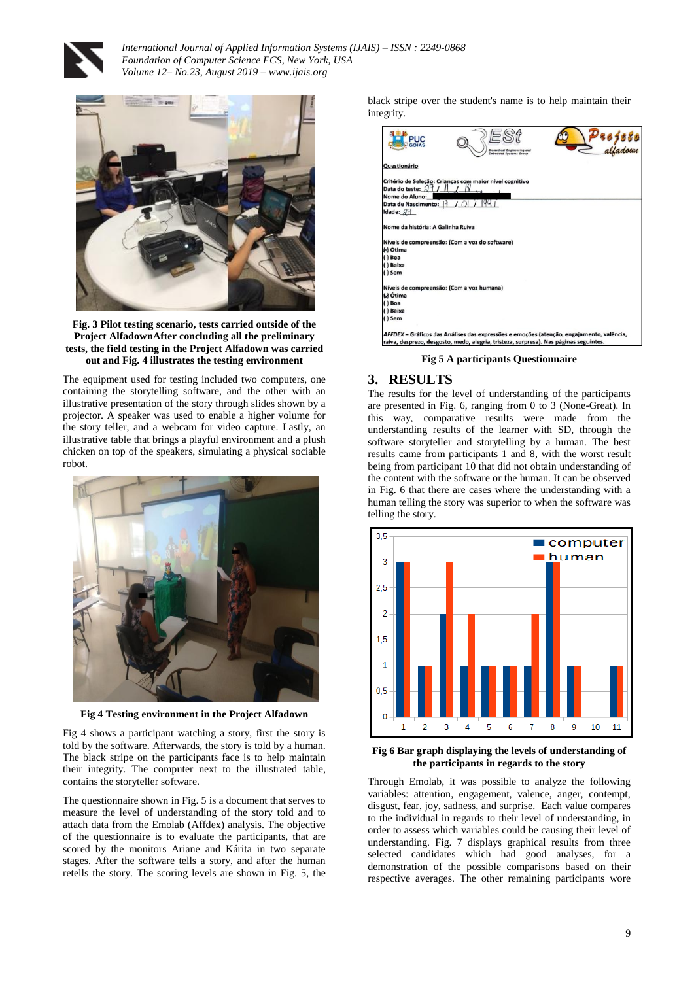



#### **Fig. 3 Pilot testing scenario, tests carried outside of the Project AlfadownAfter concluding all the preliminary tests, the field testing in the Project Alfadown was carried out and Fig. 4 illustrates the testing environment**

The equipment used for testing included two computers, one containing the storytelling software, and the other with an illustrative presentation of the story through slides shown by a projector. A speaker was used to enable a higher volume for the story teller, and a webcam for video capture. Lastly, an illustrative table that brings a playful environment and a plush chicken on top of the speakers, simulating a physical sociable robot.



**Fig 4 Testing environment in the Project Alfadown**

Fig 4 shows a participant watching a story, first the story is told by the software. Afterwards, the story is told by a human. The black stripe on the participants face is to help maintain their integrity. The computer next to the illustrated table, contains the storyteller software.

The questionnaire shown in Fig. 5 is a document that serves to measure the level of understanding of the story told and to attach data from the Emolab (Affdex) analysis. The objective of the questionnaire is to evaluate the participants, that are scored by the monitors Ariane and Kárita in two separate stages. After the software tells a story, and after the human retells the story. The scoring levels are shown in Fig. 5, the black stripe over the student's name is to help maintain their integrity.

| <b>PUC</b>                                | eedical Engineering and<br><b>Embedded Systems Group</b>                                 |  |
|-------------------------------------------|------------------------------------------------------------------------------------------|--|
| Questionário                              |                                                                                          |  |
|                                           | Critério de Seleção: Crianças com maior nível cognitivo                                  |  |
| Data do teste: $71/1$                     |                                                                                          |  |
| Nome do Aluno:                            |                                                                                          |  |
| Data de Nascimento:  }                    | 199.1                                                                                    |  |
| Idade: $23$                               |                                                                                          |  |
| Nome da história: A Galinha Ruiva         |                                                                                          |  |
|                                           | Níveis de compreensão: (Com a voz do software)                                           |  |
| A Ótima                                   |                                                                                          |  |
| () Boa                                    |                                                                                          |  |
| () Baixa                                  |                                                                                          |  |
| () Sem                                    |                                                                                          |  |
| Níveis de compreensão: (Com a voz humana) |                                                                                          |  |
| 6ď Ótima                                  |                                                                                          |  |
| () Boa                                    |                                                                                          |  |
| () Baixa                                  |                                                                                          |  |
| $()$ Sem                                  |                                                                                          |  |
|                                           | AFFDEX - Gráficos das Análises das expressões e emoções (atenção, engajamento, valência, |  |
|                                           | raiva, desprezo, desgosto, medo, alegria, tristeza, surpresa). Nas páginas seguintes.    |  |

**Fig 5 A participants Questionnaire**

# **3. RESULTS**

The results for the level of understanding of the participants are presented in Fig. 6, ranging from 0 to 3 (None-Great). In this way, comparative results were made from the understanding results of the learner with SD, through the software storyteller and storytelling by a human. The best results came from participants 1 and 8, with the worst result being from participant 10 that did not obtain understanding of the content with the software or the human. It can be observed in Fig. 6 that there are cases where the understanding with a human telling the story was superior to when the software was telling the story.



**Fig 6 Bar graph displaying the levels of understanding of the participants in regards to the story**

Through Emolab, it was possible to analyze the following variables: attention, engagement, valence, anger, contempt, disgust, fear, joy, sadness, and surprise. Each value compares to the individual in regards to their level of understanding, in order to assess which variables could be causing their level of understanding. Fig. 7 displays graphical results from three selected candidates which had good analyses, for a demonstration of the possible comparisons based on their respective averages. The other remaining participants wore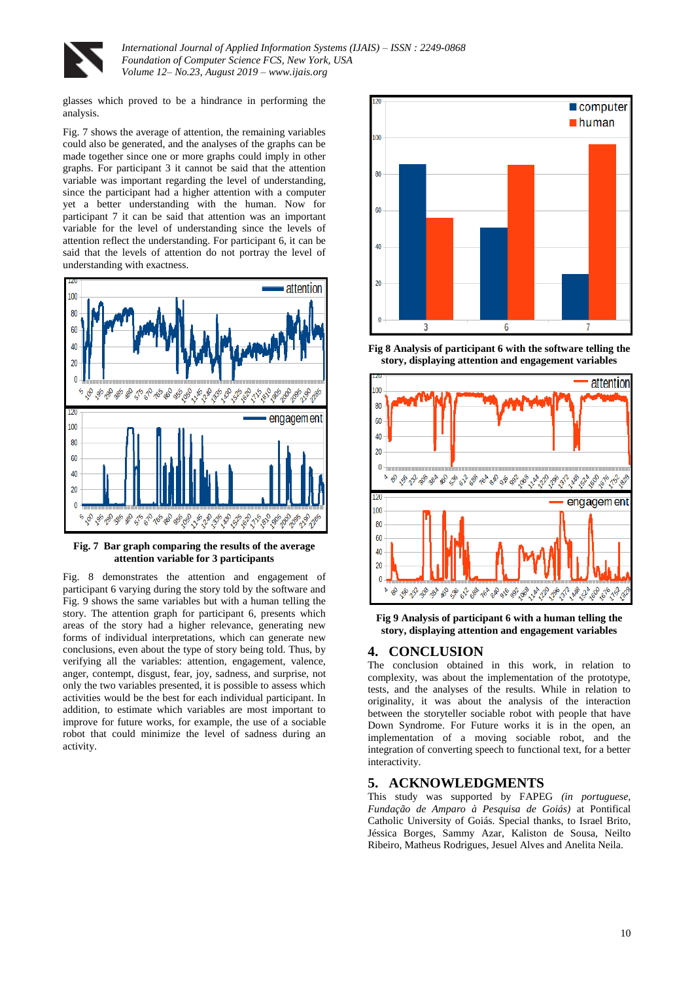

glasses which proved to be a hindrance in performing the analysis.

Fig. 7 shows the average of attention, the remaining variables could also be generated, and the analyses of the graphs can be made together since one or more graphs could imply in other graphs. For participant 3 it cannot be said that the attention variable was important regarding the level of understanding, since the participant had a higher attention with a computer yet a better understanding with the human. Now for participant 7 it can be said that attention was an important variable for the level of understanding since the levels of attention reflect the understanding. For participant 6, it can be said that the levels of attention do not portray the level of understanding with exactness.



**Fig. 7 Bar graph comparing the results of the average attention variable for 3 participants**

Fig. 8 demonstrates the attention and engagement of participant 6 varying during the story told by the software and Fig. 9 shows the same variables but with a human telling the story. The attention graph for participant 6, presents which areas of the story had a higher relevance, generating new forms of individual interpretations, which can generate new conclusions, even about the type of story being told. Thus, by verifying all the variables: attention, engagement, valence, anger, contempt, disgust, fear, joy, sadness, and surprise, not only the two variables presented, it is possible to assess which activities would be the best for each individual participant. In addition, to estimate which variables are most important to improve for future works, for example, the use of a sociable robot that could minimize the level of sadness during an activity.



**Fig 8 Analysis of participant 6 with the software telling the story, displaying attention and engagement variables**



**Fig 9 Analysis of participant 6 with a human telling the story, displaying attention and engagement variables**

## **4. CONCLUSION**

The conclusion obtained in this work, in relation to complexity, was about the implementation of the prototype, tests, and the analyses of the results. While in relation to originality, it was about the analysis of the interaction between the storyteller sociable robot with people that have Down Syndrome. For Future works it is in the open, an implementation of a moving sociable robot, and the integration of converting speech to functional text, for a better interactivity.

## **5. ACKNOWLEDGMENTS**

This study was supported by FAPEG *(in portuguese, Fundação de Amparo à Pesquisa de Goiás)* at Pontifical Catholic University of Goiás. Special thanks, to Israel Brito, Jéssica Borges, Sammy Azar, Kaliston de Sousa, Neilto Ribeiro, Matheus Rodrigues, Jesuel Alves and Anelita Neila.